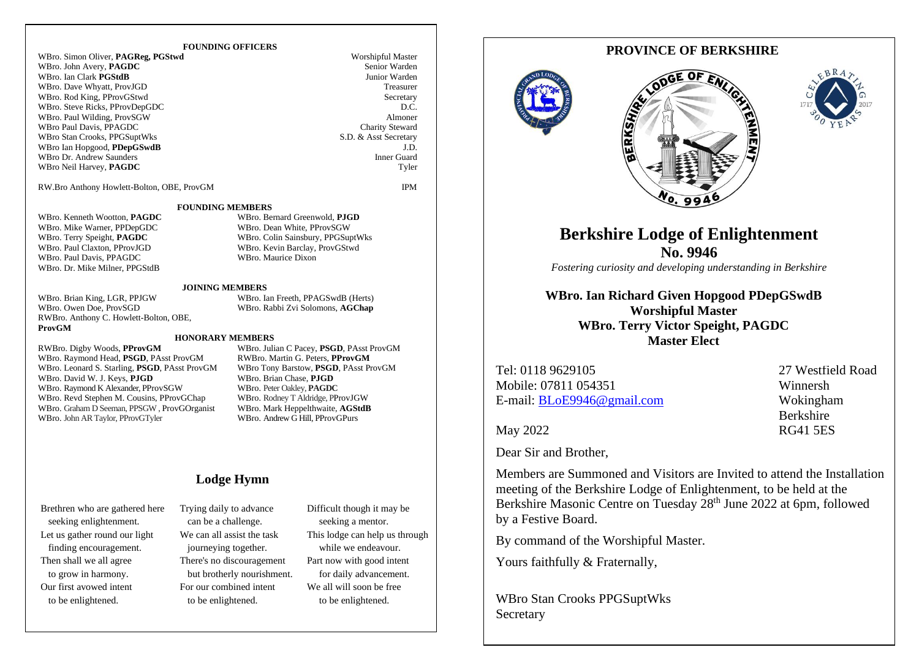### **FOUNDING OFFICERS**

WBro. Simon Oliver, **PAGReg, PGStwd** Worshipful Master WRro. John Avery **PAGDC** Worshipful Master WBro. John Avery, **PAGDC** Senior Warden<br>
Senior March 1995<br>
Senior Warden<br>
Senior Warden<br>
Senior Warden WBro. Ian Clark **PGStdB** Junior Warden<br>
WRro. Dave Whyatt ProvIGD **Treasurer** WBro. Dave Whyatt, ProvJGD WBro. Rod King, PProvGStwd<br>WBro. Steve Ricks PProvDenGDC DC WBro. Steve Ricks, PProvDepGDC D.C.<br>
WBro. Paul Wilding. ProvSGW Almoner WBro. Paul Wilding, ProvSGW Almoner<br>
WBro Paul Davis, PPAGDC Charity Steward<br>
Charity Steward WBro Paul Davis, PPAGDC Charity Steward<br>
WBro Stan Crooks PPGSuntWks<br>
S.D. & Asst Secretary WBro Stan Crooks, PPGSuptWks WBro Ian Hopgood, **PDepGSwdB** J.D.<br>WBro Dr. Andrew Saunders **J.D.** WBro Dr. Andrew Saunders WBro Neil Harvey, **PAGDC** Tyler

RW.Bro Anthony Howlett-Bolton, OBE, ProvGM IPM

**FOUNDING MEMBERS**

WBro. Kenneth Wootton, **PAGDC** WBro. Bernard Greenwold, **PJGD**<br>WBro. Mike Warner. PPDenGDC WBro. Dean White. PProvSGW WBro. Mike Warner, PPDepGDC<br>WBro. Terry Speight, PAGDC WBro. Terry Speight, **PAGDC** WBro. Colin Sainsbury, PPGSuptWks<br>
WBro. Paul Claxton, PProvJGD WBro. Kevin Barclay, ProvGStwd WBro. Paul Davis, PPAGDC WBro. Maurice Dixon WBro. Dr. Mike Milner, PPGStdB

WBro. Brian King, LGR, PPJGW WBro. Ian Freeth, PPAGSwdB (Herts)<br>WBro. Owen Doe, ProvSGD WBro. Rabbi Zvi Solomons, AGChap RWBro. Anthony C. Howlett-Bolton, OBE, **ProvGM**

**JOINING MEMBERS** WBro. Rabbi Zvi Solomons, AGChap

WBro. Kevin Barclay, ProvGStwd

#### **HONORARY MEMBERS**

WBro. Raymond Head, PSGD, PAsst ProvGM WBro. Leonard S. Starling, **PSGD**, PAsst ProvGM WBro Tony Barstow, **PSGD**, PAsst ProvGM WBro. David W. J. Keys, **PJGD** WBro. Brian Chase, **PJGD** WBro. Raymond K Alexander, **PProvSGW** WBro. Peter Oakley, **PAGDC** WBro. Raymond K Alexander, PProvSGW WBro. Peter Oakley, PAGDC<br>WBro. Revd Stephen M. Cousins. PProvGChap WBro. Rodney T Aldridge. PProvJGW WBro. Revd Stephen M. Cousins, PProvGChap WBro. Graham D Seeman, PPSGW , ProvGOrganist WBro. Mark Heppelthwaite, **AGStdB**<br>WBro. John AR Taylor PProvGTvler WBro. Andrew G Hill PProvGPurs WBro. John AR Taylor, PProvGTyler

RWBro. Digby Woods, **PProvGM** WBro. Julian C Pacey, **PSGD**, PAsst ProvGM

### **Lodge Hymn**

Brethren who are gathered here seeking enlightenment. Let us gather round our light finding encouragement. Then shall we all agree to grow in harmony. Our first avowed intent to be enlightened.

Trying daily to advance can be a challenge. We can all assist the task journeying together. There's no discouragement but brotherly nourishment. For our combined intent to be enlightened.

Difficult though it may be seeking a mentor. This lodge can help us through while we endeavour. Part now with good intent for daily advancement. We all will soon be free to be enlightened.

## **PROVINCE OF BERKSHIRE**







# **Berkshire Lodge of Enlightenment No. 9946**

*Fostering curiosity and developing understanding in Berkshire*

**WBro. Ian Richard Given Hopgood PDepGSwdB Worshipful Master WBro. Terry Victor Speight, PAGDC Master Elect**

Tel: 0118 9629105 27 Westfield Road Mobile: 07811 054351 Winnersh E-mail: [BLoE9946@gmail.com](mailto:BLoE9946@gmail.com) Wokingham

Berkshire May 2022 RG41 5ES

Dear Sir and Brother,

Members are Summoned and Visitors are Invited to attend the Installation meeting of the Berkshire Lodge of Enlightenment, to be held at the Berkshire Masonic Centre on Tuesday 28<sup>th</sup> June 2022 at 6pm, followed by a Festive Board.

By command of the Worshipful Master.

Yours faithfully & Fraternally,

WBro Stan Crooks PPGSuptWks **Secretary**